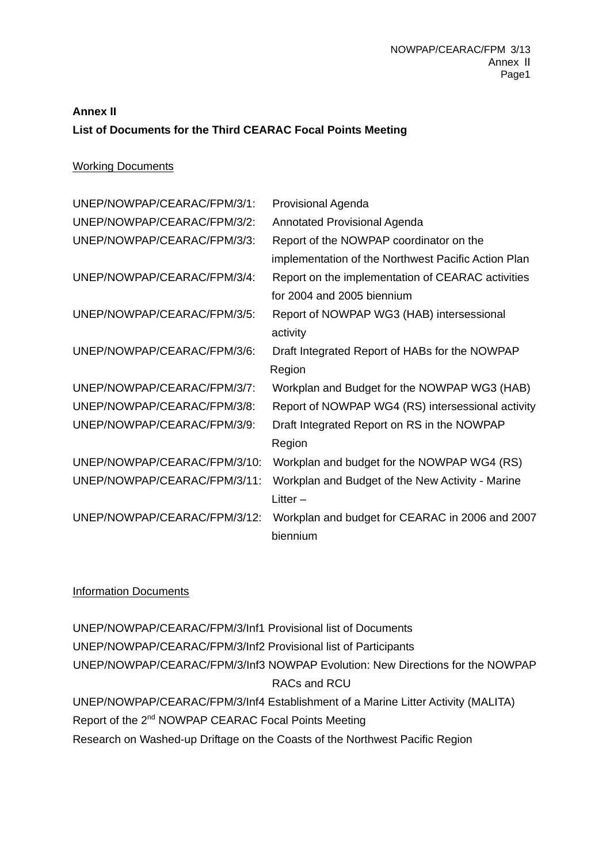## **Annex II List of Documents for the Third CEARAC Focal Points Meeting**

## Working Documents

| UNEP/NOWPAP/CEARAC/FPM/3/1:  | <b>Provisional Agenda</b>                           |
|------------------------------|-----------------------------------------------------|
| UNEP/NOWPAP/CEARAC/FPM/3/2:  | <b>Annotated Provisional Agenda</b>                 |
| UNEP/NOWPAP/CEARAC/FPM/3/3:  | Report of the NOWPAP coordinator on the             |
|                              | implementation of the Northwest Pacific Action Plan |
| UNEP/NOWPAP/CEARAC/FPM/3/4:  | Report on the implementation of CEARAC activities   |
|                              | for 2004 and 2005 biennium                          |
| UNEP/NOWPAP/CEARAC/FPM/3/5:  | Report of NOWPAP WG3 (HAB) intersessional           |
|                              | activity                                            |
| UNEP/NOWPAP/CEARAC/FPM/3/6:  | Draft Integrated Report of HABs for the NOWPAP      |
|                              | Region                                              |
| UNEP/NOWPAP/CEARAC/FPM/3/7:  | Workplan and Budget for the NOWPAP WG3 (HAB)        |
| UNEP/NOWPAP/CEARAC/FPM/3/8:  | Report of NOWPAP WG4 (RS) intersessional activity   |
| UNEP/NOWPAP/CEARAC/FPM/3/9:  | Draft Integrated Report on RS in the NOWPAP         |
|                              | Region                                              |
| UNEP/NOWPAP/CEARAC/FPM/3/10: | Workplan and budget for the NOWPAP WG4 (RS)         |
| UNEP/NOWPAP/CEARAC/FPM/3/11: | Workplan and Budget of the New Activity - Marine    |
|                              | Litter $-$                                          |
| UNEP/NOWPAP/CEARAC/FPM/3/12: | Workplan and budget for CEARAC in 2006 and 2007     |
|                              | biennium                                            |

## Information Documents

UNEP/NOWPAP/CEARAC/FPM/3/Inf1 Provisional list of Documents UNEP/NOWPAP/CEARAC/FPM/3/Inf2 Provisional list of Participants UNEP/NOWPAP/CEARAC/FPM/3/Inf3 NOWPAP Evolution: New Directions for the NOWPAP RACs and RCU UNEP/NOWPAP/CEARAC/FPM/3/Inf4 Establishment of a Marine Litter Activity (MALITA) Report of the 2<sup>nd</sup> NOWPAP CEARAC Focal Points Meeting Research on Washed-up Driftage on the Coasts of the Northwest Pacific Region